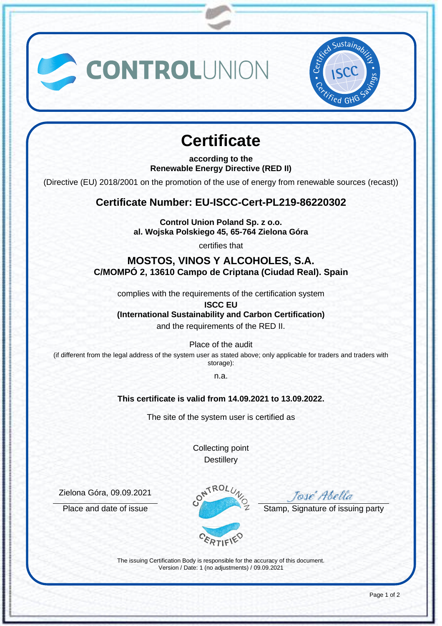



# **Certificate**

**according to the Renewable Energy Directive (RED II)**

(Directive (EU) 2018/2001 on the promotion of the use of energy from renewable sources (recast))

## **Certificate Number: EU-ISCC-Cert-PL219-86220302**

**Control Union Poland Sp. z o.o. al. Wojska Polskiego 45, 65-764 Zielona Góra**

certifies that

### **MOSTOS, VINOS Y ALCOHOLES, S.A. C/MOMPÓ 2, 13610 Campo de Criptana (Ciudad Real). Spain**

complies with the requirements of the certification system

**ISCC EU (International Sustainability and Carbon Certification)**

and the requirements of the RED II.

Place of the audit

(if different from the legal address of the system user as stated above; only applicable for traders and traders with storage):

n.a.

#### **This certificate is valid from 14.09.2021 to 13.09.2022.**

The site of the system user is certified as

Collecting point **Destillery** 

Zielona Góra, 09.09.2021



The issuing Certification Body is responsible for the accuracy of this document. Version / Date: 1 (no adjustments) / 09.09.2021